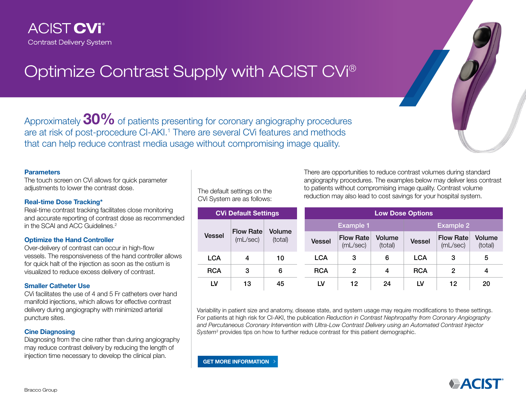

# Optimize Contrast Supply with ACIST CVi®

Approximately 30% of patients presenting for coronary angiography procedures are at risk of post-procedure CI-AKI.<sup>1</sup> There are several CVi features and methods that can help reduce contrast media usage without compromising image quality.

#### **Parameters**

The touch screen on CVi allows for quick parameter adjustments to lower the contrast dose.

#### Real-time Dose Tracking\*

Real-time contrast tracking facilitates close monitoring and accurate reporting of contrast dose as recommended in the SCAI and ACC Guidelines.2

#### Optimize the Hand Controller

Over-delivery of contrast can occur in high-flow vessels. The responsiveness of the hand controller allows for quick halt of the injection as soon as the ostium is visualized to reduce excess delivery of contrast.

## Smaller Catheter Use

CVi facilitates the use of 4 and 5 Fr catheters over hand manifold injections, which allows for effective contrast delivery during angiography with minimized arterial puncture sites.

## Cine Diagnosing

Diagnosing from the cine rather than during angiography may reduce contrast delivery by reducing the length of injection time necessary to develop the clinical plan.

The default settings on the CVi System are as follows:

There are opportunities to reduce contrast volumes during standard angiography procedures. The examples below may deliver less contrast to patients without compromising image quality. Contrast volume reduction may also lead to cost savings for your hospital system.

| <b>CVI Default Settings</b> |                              |                   | <b>Low Dose Options</b> |                              |                   |                  |                              |                   |
|-----------------------------|------------------------------|-------------------|-------------------------|------------------------------|-------------------|------------------|------------------------------|-------------------|
| <b>Vessel</b>               | <b>Flow Rate</b><br>(mL/sec) | Volume<br>(total) | <b>Example 1</b>        |                              |                   | <b>Example 2</b> |                              |                   |
|                             |                              |                   | <b>Vessel</b>           | <b>Flow Rate</b><br>(mL/sec) | Volume<br>(total) | <b>Vessel</b>    | <b>Flow Rate</b><br>(mL/sec) | Volume<br>(total) |
| <b>LCA</b>                  | 4                            | 10                | <b>LCA</b>              | 3                            | 6                 | <b>LCA</b>       | 3                            | 5                 |
| <b>RCA</b>                  | 3                            | 6                 | <b>RCA</b>              | 2                            | 4                 | <b>RCA</b>       | 2                            | 4                 |
| LV                          | 13                           | 45                | LV                      | 12                           | 24                | LV               | 12                           | 20                |

Variability in patient size and anatomy, disease state, and system usage may require modifications to these settings. For patients at high risk for CI-AKI, the publication *Reduction in Contrast Nephropathy from Coronary Angiography and Percutaneous Coronary Intervention with Ultra-Low Contrast Delivery using an Automated Contrast Injector System3* provides tips on how to further reduce contrast for this patient demographic.

[GET MORE INFORMATION](https://acist.com/contact/find-a-rep/)